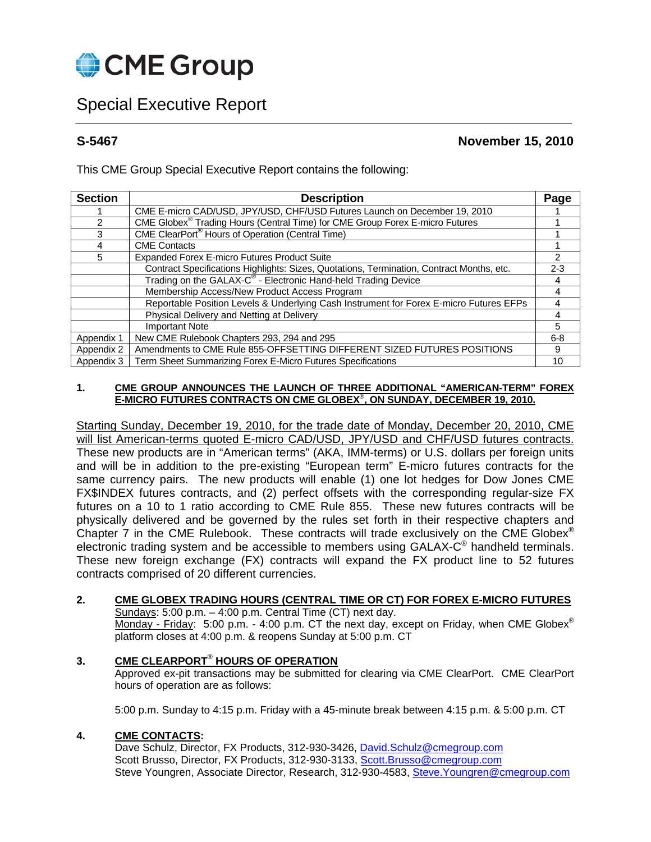

# Special Executive Report

**S-5467 November 15, 2010** 

This CME Group Special Executive Report contains the following:

| <b>Section</b> | <b>Description</b>                                                                        |         |  |  |  |  |
|----------------|-------------------------------------------------------------------------------------------|---------|--|--|--|--|
|                | CME E-micro CAD/USD, JPY/USD, CHF/USD Futures Launch on December 19, 2010                 |         |  |  |  |  |
| 2              | CME Globex® Trading Hours (Central Time) for CME Group Forex E-micro Futures              |         |  |  |  |  |
| 3              | CME ClearPort <sup>®</sup> Hours of Operation (Central Time)                              |         |  |  |  |  |
|                | <b>CME Contacts</b>                                                                       |         |  |  |  |  |
| 5              | Expanded Forex E-micro Futures Product Suite                                              | 2       |  |  |  |  |
|                | Contract Specifications Highlights: Sizes, Quotations, Termination, Contract Months, etc. | $2 - 3$ |  |  |  |  |
|                | Trading on the GALAX-C <sup>®</sup> - Electronic Hand-held Trading Device                 | 4       |  |  |  |  |
|                | Membership Access/New Product Access Program                                              | 4       |  |  |  |  |
|                | Reportable Position Levels & Underlying Cash Instrument for Forex E-micro Futures EFPs    |         |  |  |  |  |
|                | Physical Delivery and Netting at Delivery                                                 | 4       |  |  |  |  |
|                | <b>Important Note</b>                                                                     | 5       |  |  |  |  |
| Appendix 1     | New CME Rulebook Chapters 293, 294 and 295                                                | $6 - 8$ |  |  |  |  |
| Appendix 2     | Amendments to CME Rule 855-OFFSETTING DIFFERENT SIZED FUTURES POSITIONS                   | 9       |  |  |  |  |
| Appendix 3     | Term Sheet Summarizing Forex E-Micro Futures Specifications                               | 10      |  |  |  |  |

## **1. CME GROUP ANNOUNCES THE LAUNCH OF THREE ADDITIONAL "AMERICAN-TERM" FOREX E-MICRO FUTURES CONTRACTS ON CME GLOBEX**®**, ON SUNDAY, DECEMBER 19, 2010.**

Starting Sunday, December 19, 2010, for the trade date of Monday, December 20, 2010, CME will list American-terms quoted E-micro CAD/USD, JPY/USD and CHF/USD futures contracts. These new products are in "American terms" (AKA, IMM-terms) or U.S. dollars per foreign units and will be in addition to the pre-existing "European term" E-micro futures contracts for the same currency pairs. The new products will enable (1) one lot hedges for Dow Jones CME FX\$INDEX futures contracts, and (2) perfect offsets with the corresponding regular-size FX futures on a 10 to 1 ratio according to CME Rule 855. These new futures contracts will be physically delivered and be governed by the rules set forth in their respective chapters and Chapter 7 in the CME Rulebook. These contracts will trade exclusively on the CME Globex<sup>®</sup> electronic trading system and be accessible to members using GALAX-C® handheld terminals. These new foreign exchange (FX) contracts will expand the FX product line to 52 futures contracts comprised of 20 different currencies.

## **2. CME GLOBEX TRADING HOURS (CENTRAL TIME OR CT) FOR FOREX E-MICRO FUTURES**

Sundays: 5:00 p.m. – 4:00 p.m. Central Time (CT) next day. Monday - Friday: 5:00 p.m. - 4:00 p.m. CT the next day, except on Friday, when CME Globex<sup>®</sup> platform closes at 4:00 p.m. & reopens Sunday at 5:00 p.m. CT

## **3. CME CLEARPORT**®  **HOURS OF OPERATION**

 Approved ex-pit transactions may be submitted for clearing via CME ClearPort. CME ClearPort hours of operation are as follows:

5:00 p.m. Sunday to 4:15 p.m. Friday with a 45-minute break between 4:15 p.m. & 5:00 p.m. CT

## **4. CME CONTACTS:**

Dave Schulz, Director, FX Products, 312-930-3426, David.Schulz@cmegroup.com Scott Brusso, Director, FX Products, 312-930-3133, Scott Brusso@cmegroup.com Steve Youngren, Associate Director, Research, 312-930-4583, Steve.Youngren@cmegroup.com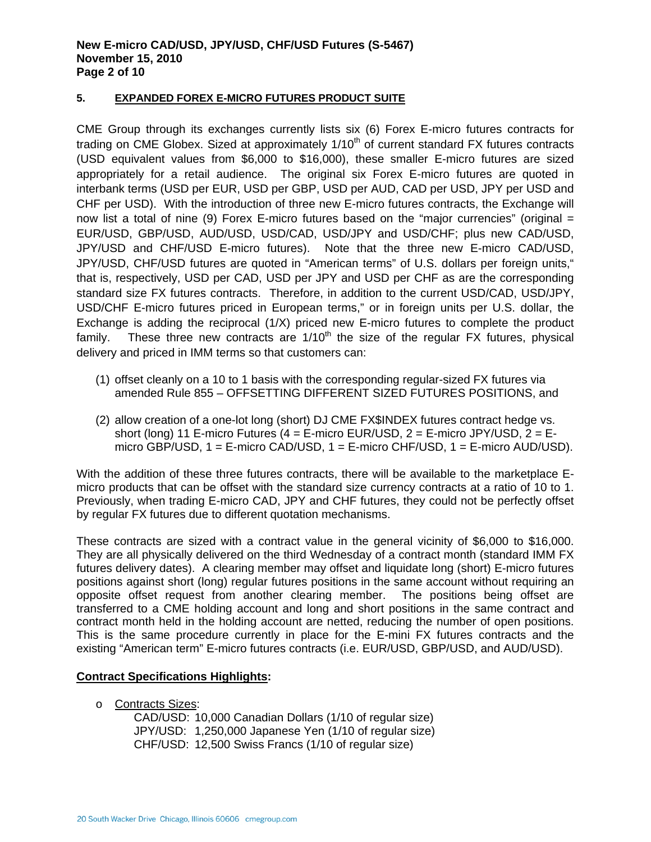## **New E-micro CAD/USD, JPY/USD, CHF/USD Futures (S-5467) November 15, 2010 Page 2 of 10**

## **5. EXPANDED FOREX E-MICRO FUTURES PRODUCT SUITE**

CME Group through its exchanges currently lists six (6) Forex E-micro futures contracts for trading on CME Globex. Sized at approximately  $1/10<sup>th</sup>$  of current standard FX futures contracts (USD equivalent values from \$6,000 to \$16,000), these smaller E-micro futures are sized appropriately for a retail audience. The original six Forex E-micro futures are quoted in interbank terms (USD per EUR, USD per GBP, USD per AUD, CAD per USD, JPY per USD and CHF per USD). With the introduction of three new E-micro futures contracts, the Exchange will now list a total of nine (9) Forex E-micro futures based on the "major currencies" (original  $=$ EUR/USD, GBP/USD, AUD/USD, USD/CAD, USD/JPY and USD/CHF; plus new CAD/USD, JPY/USD and CHF/USD E-micro futures). Note that the three new E-micro CAD/USD, JPY/USD, CHF/USD futures are quoted in "American terms" of U.S. dollars per foreign units," that is, respectively, USD per CAD, USD per JPY and USD per CHF as are the corresponding standard size FX futures contracts. Therefore, in addition to the current USD/CAD, USD/JPY, USD/CHF E-micro futures priced in European terms," or in foreign units per U.S. dollar, the Exchange is adding the reciprocal (1/X) priced new E-micro futures to complete the product family. These three new contracts are  $1/10<sup>th</sup>$  the size of the regular FX futures, physical delivery and priced in IMM terms so that customers can:

- (1) offset cleanly on a 10 to 1 basis with the corresponding regular-sized FX futures via amended Rule 855 – OFFSETTING DIFFERENT SIZED FUTURES POSITIONS, and
- (2) allow creation of a one-lot long (short) DJ CME FX\$INDEX futures contract hedge vs. short (long) 11 E-micro Futures ( $4 =$  E-micro EUR/USD,  $2 =$  E-micro JPY/USD,  $2 =$  Emicro GBP/USD, 1 = E-micro CAD/USD, 1 = E-micro CHF/USD, 1 = E-micro AUD/USD).

With the addition of these three futures contracts, there will be available to the marketplace Emicro products that can be offset with the standard size currency contracts at a ratio of 10 to 1. Previously, when trading E-micro CAD, JPY and CHF futures, they could not be perfectly offset by regular FX futures due to different quotation mechanisms.

These contracts are sized with a contract value in the general vicinity of \$6,000 to \$16,000. They are all physically delivered on the third Wednesday of a contract month (standard IMM FX futures delivery dates). A clearing member may offset and liquidate long (short) E-micro futures positions against short (long) regular futures positions in the same account without requiring an opposite offset request from another clearing member. The positions being offset are transferred to a CME holding account and long and short positions in the same contract and contract month held in the holding account are netted, reducing the number of open positions. This is the same procedure currently in place for the E-mini FX futures contracts and the existing "American term" E-micro futures contracts (i.e. EUR/USD, GBP/USD, and AUD/USD).

## **Contract Specifications Highlights:**

o Contracts Sizes:

CAD/USD: 10,000 Canadian Dollars (1/10 of regular size) JPY/USD: 1,250,000 Japanese Yen (1/10 of regular size) CHF/USD: 12,500 Swiss Francs (1/10 of regular size)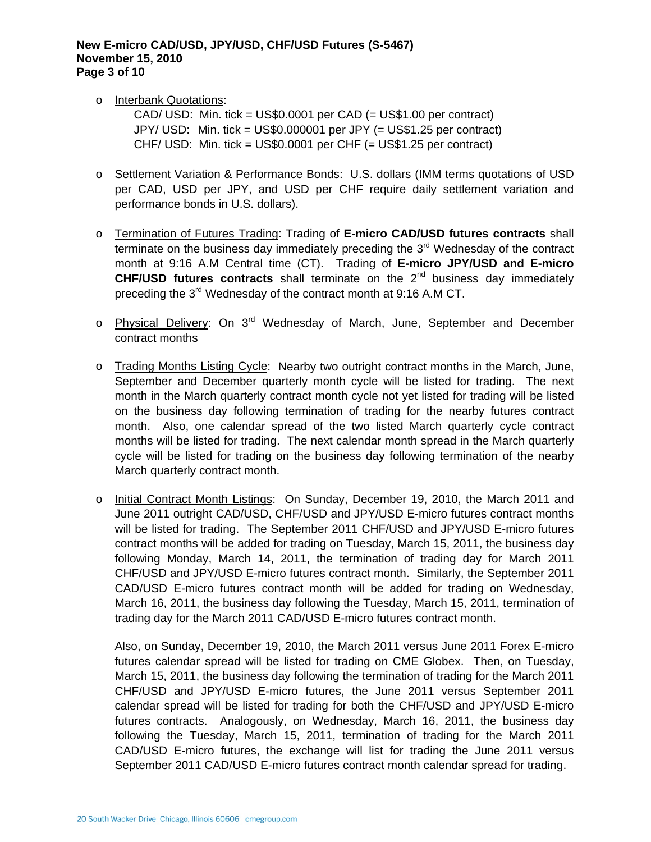## **New E-micro CAD/USD, JPY/USD, CHF/USD Futures (S-5467) November 15, 2010 Page 3 of 10**

o Interbank Quotations:

 CAD/ USD: Min. tick = US\$0.0001 per CAD (= US\$1.00 per contract) JPY/ USD: Min. tick = US\$0.000001 per JPY (= US\$1.25 per contract) CHF/ USD: Min. tick = US\$0.0001 per CHF (= US\$1.25 per contract)

- o Settlement Variation & Performance Bonds: U.S. dollars (IMM terms quotations of USD per CAD, USD per JPY, and USD per CHF require daily settlement variation and performance bonds in U.S. dollars).
- o Termination of Futures Trading: Trading of **E-micro CAD/USD futures contracts** shall terminate on the business day immediately preceding the 3<sup>rd</sup> Wednesday of the contract month at 9:16 A.M Central time (CT). Trading of **E-micro JPY/USD and E-micro CHF/USD futures contracts** shall terminate on the 2nd business day immediately preceding the 3<sup>rd</sup> Wednesday of the contract month at 9:16 A.M CT.
- o Physical Delivery: On 3<sup>rd</sup> Wednesday of March, June, September and December contract months
- o Trading Months Listing Cycle: Nearby two outright contract months in the March, June, September and December quarterly month cycle will be listed for trading. The next month in the March quarterly contract month cycle not yet listed for trading will be listed on the business day following termination of trading for the nearby futures contract month. Also, one calendar spread of the two listed March quarterly cycle contract months will be listed for trading. The next calendar month spread in the March quarterly cycle will be listed for trading on the business day following termination of the nearby March quarterly contract month.
- o Initial Contract Month Listings: On Sunday, December 19, 2010, the March 2011 and June 2011 outright CAD/USD, CHF/USD and JPY/USD E-micro futures contract months will be listed for trading. The September 2011 CHF/USD and JPY/USD E-micro futures contract months will be added for trading on Tuesday, March 15, 2011, the business day following Monday, March 14, 2011, the termination of trading day for March 2011 CHF/USD and JPY/USD E-micro futures contract month. Similarly, the September 2011 CAD/USD E-micro futures contract month will be added for trading on Wednesday, March 16, 2011, the business day following the Tuesday, March 15, 2011, termination of trading day for the March 2011 CAD/USD E-micro futures contract month.

Also, on Sunday, December 19, 2010, the March 2011 versus June 2011 Forex E-micro futures calendar spread will be listed for trading on CME Globex. Then, on Tuesday, March 15, 2011, the business day following the termination of trading for the March 2011 CHF/USD and JPY/USD E-micro futures, the June 2011 versus September 2011 calendar spread will be listed for trading for both the CHF/USD and JPY/USD E-micro futures contracts. Analogously, on Wednesday, March 16, 2011, the business day following the Tuesday, March 15, 2011, termination of trading for the March 2011 CAD/USD E-micro futures, the exchange will list for trading the June 2011 versus September 2011 CAD/USD E-micro futures contract month calendar spread for trading.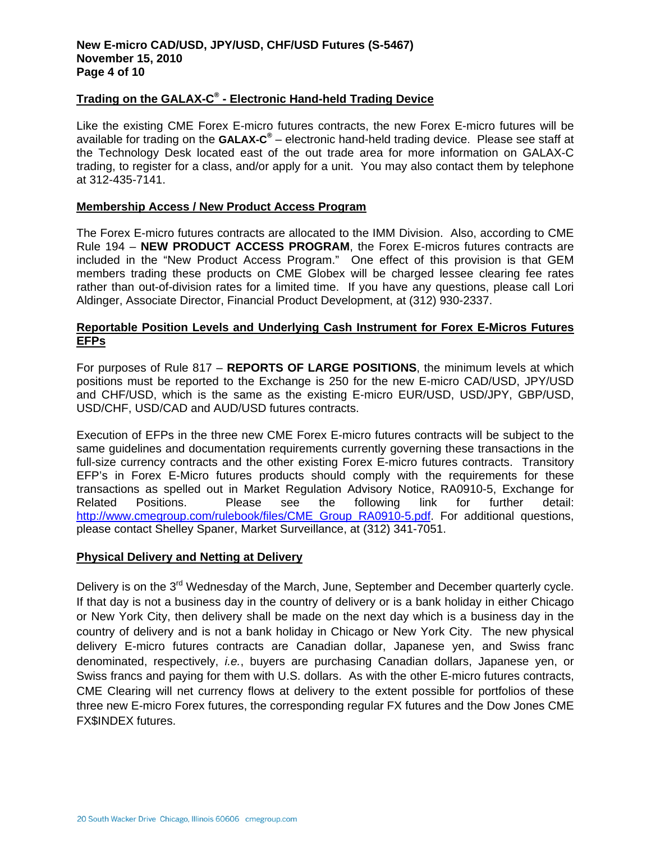## **New E-micro CAD/USD, JPY/USD, CHF/USD Futures (S-5467) November 15, 2010 Page 4 of 10**

## **Trading on the GALAX-C® - Electronic Hand-held Trading Device**

Like the existing CME Forex E-micro futures contracts, the new Forex E-micro futures will be available for trading on the **GALAX-C®** – electronic hand-held trading device. Please see staff at the Technology Desk located east of the out trade area for more information on GALAX-C trading, to register for a class, and/or apply for a unit. You may also contact them by telephone at 312-435-7141.

## **Membership Access / New Product Access Program**

The Forex E-micro futures contracts are allocated to the IMM Division. Also, according to CME Rule 194 – **NEW PRODUCT ACCESS PROGRAM**, the Forex E-micros futures contracts are included in the "New Product Access Program." One effect of this provision is that GEM members trading these products on CME Globex will be charged lessee clearing fee rates rather than out-of-division rates for a limited time. If you have any questions, please call Lori Aldinger, Associate Director, Financial Product Development, at (312) 930-2337.

## **Reportable Position Levels and Underlying Cash Instrument for Forex E-Micros Futures EFPs**

For purposes of Rule 817 – **REPORTS OF LARGE POSITIONS**, the minimum levels at which positions must be reported to the Exchange is 250 for the new E-micro CAD/USD, JPY/USD and CHF/USD, which is the same as the existing E-micro EUR/USD, USD/JPY, GBP/USD, USD/CHF, USD/CAD and AUD/USD futures contracts.

Execution of EFPs in the three new CME Forex E-micro futures contracts will be subject to the same guidelines and documentation requirements currently governing these transactions in the full-size currency contracts and the other existing Forex E-micro futures contracts. Transitory EFP's in Forex E-Micro futures products should comply with the requirements for these transactions as spelled out in Market Regulation Advisory Notice, RA0910-5, Exchange for Related Positions. Please see the following link for further detail: http://www.cmegroup.com/rulebook/files/CME\_Group\_RA0910-5.pdf. For additional questions, please contact Shelley Spaner, Market Surveillance, at (312) 341-7051.

## **Physical Delivery and Netting at Delivery**

Delivery is on the 3<sup>rd</sup> Wednesday of the March, June, September and December quarterly cycle. If that day is not a business day in the country of delivery or is a bank holiday in either Chicago or New York City, then delivery shall be made on the next day which is a business day in the country of delivery and is not a bank holiday in Chicago or New York City. The new physical delivery E-micro futures contracts are Canadian dollar, Japanese yen, and Swiss franc denominated, respectively, *i.e.*, buyers are purchasing Canadian dollars, Japanese yen, or Swiss francs and paying for them with U.S. dollars. As with the other E-micro futures contracts, CME Clearing will net currency flows at delivery to the extent possible for portfolios of these three new E-micro Forex futures, the corresponding regular FX futures and the Dow Jones CME FX\$INDEX futures.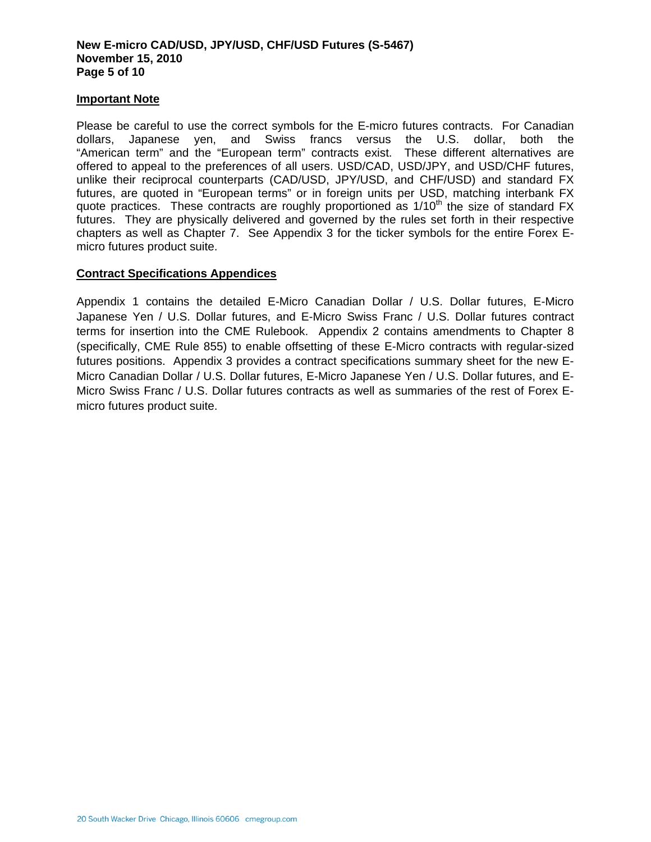## **New E-micro CAD/USD, JPY/USD, CHF/USD Futures (S-5467) November 15, 2010 Page 5 of 10**

## **Important Note**

Please be careful to use the correct symbols for the E-micro futures contracts. For Canadian dollars, Japanese yen, and Swiss francs versus the U.S. dollar, both the "American term" and the "European term" contracts exist. These different alternatives are offered to appeal to the preferences of all users. USD/CAD, USD/JPY, and USD/CHF futures, unlike their reciprocal counterparts (CAD/USD, JPY/USD, and CHF/USD) and standard FX futures, are quoted in "European terms" or in foreign units per USD, matching interbank FX quote practices. These contracts are roughly proportioned as  $1/10<sup>th</sup>$  the size of standard FX futures. They are physically delivered and governed by the rules set forth in their respective chapters as well as Chapter 7. See Appendix 3 for the ticker symbols for the entire Forex Emicro futures product suite.

## **Contract Specifications Appendices**

Appendix 1 contains the detailed E-Micro Canadian Dollar / U.S. Dollar futures, E-Micro Japanese Yen / U.S. Dollar futures, and E-Micro Swiss Franc / U.S. Dollar futures contract terms for insertion into the CME Rulebook. Appendix 2 contains amendments to Chapter 8 (specifically, CME Rule 855) to enable offsetting of these E-Micro contracts with regular-sized futures positions. Appendix 3 provides a contract specifications summary sheet for the new E-Micro Canadian Dollar / U.S. Dollar futures, E-Micro Japanese Yen / U.S. Dollar futures, and E-Micro Swiss Franc / U.S. Dollar futures contracts as well as summaries of the rest of Forex Emicro futures product suite.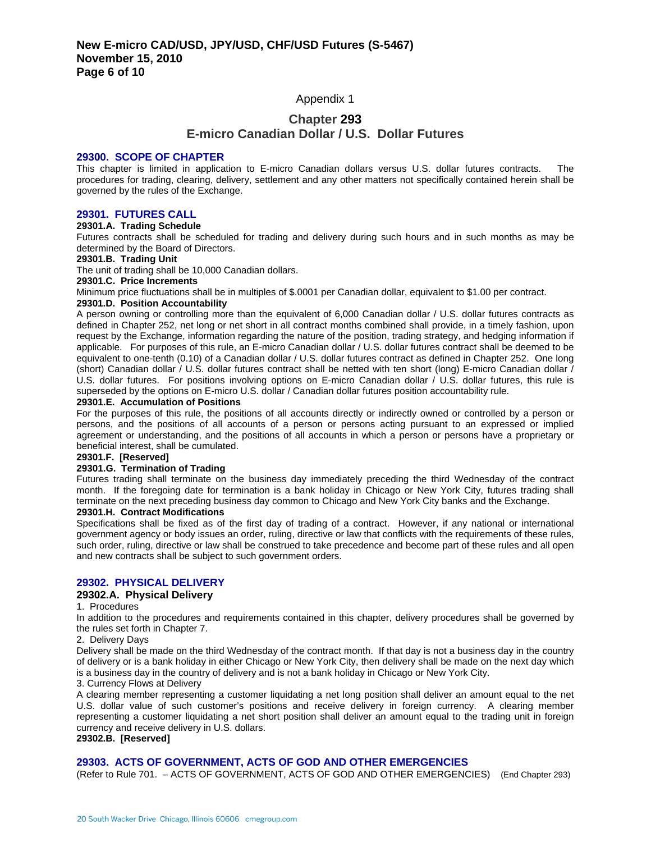## Appendix 1

## **Chapter 293**

## **E-micro Canadian Dollar / U.S. Dollar Futures**

#### **29300. SCOPE OF CHAPTER**

This chapter is limited in application to E-micro Canadian dollars versus U.S. dollar futures contracts. The procedures for trading, clearing, delivery, settlement and any other matters not specifically contained herein shall be governed by the rules of the Exchange.

#### **29301. FUTURES CALL**

#### **29301.A. Trading Schedule**

Futures contracts shall be scheduled for trading and delivery during such hours and in such months as may be determined by the Board of Directors.

#### **29301.B. Trading Unit**

The unit of trading shall be 10,000 Canadian dollars.

#### **29301.C. Price Increments**

Minimum price fluctuations shall be in multiples of \$.0001 per Canadian dollar, equivalent to \$1.00 per contract.

#### **29301.D. Position Accountability**

A person owning or controlling more than the equivalent of 6,000 Canadian dollar / U.S. dollar futures contracts as defined in Chapter 252, net long or net short in all contract months combined shall provide, in a timely fashion, upon request by the Exchange, information regarding the nature of the position, trading strategy, and hedging information if applicable. For purposes of this rule, an E-micro Canadian dollar / U.S. dollar futures contract shall be deemed to be equivalent to one-tenth (0.10) of a Canadian dollar / U.S. dollar futures contract as defined in Chapter 252. One long (short) Canadian dollar / U.S. dollar futures contract shall be netted with ten short (long) E-micro Canadian dollar / U.S. dollar futures. For positions involving options on E-micro Canadian dollar / U.S. dollar futures, this rule is superseded by the options on E-micro U.S. dollar / Canadian dollar futures position accountability rule.

#### **29301.E. Accumulation of Positions**

For the purposes of this rule, the positions of all accounts directly or indirectly owned or controlled by a person or persons, and the positions of all accounts of a person or persons acting pursuant to an expressed or implied agreement or understanding, and the positions of all accounts in which a person or persons have a proprietary or beneficial interest, shall be cumulated.

#### **29301.F. [Reserved]**

#### **29301.G. Termination of Trading**

Futures trading shall terminate on the business day immediately preceding the third Wednesday of the contract month. If the foregoing date for termination is a bank holiday in Chicago or New York City, futures trading shall terminate on the next preceding business day common to Chicago and New York City banks and the Exchange.

#### **29301.H. Contract Modifications**

Specifications shall be fixed as of the first day of trading of a contract. However, if any national or international government agency or body issues an order, ruling, directive or law that conflicts with the requirements of these rules, such order, ruling, directive or law shall be construed to take precedence and become part of these rules and all open and new contracts shall be subject to such government orders.

#### **29302. PHYSICAL DELIVERY**

#### **29302.A. Physical Delivery**

#### 1. Procedures

In addition to the procedures and requirements contained in this chapter, delivery procedures shall be governed by the rules set forth in Chapter 7.

#### 2. Delivery Days

Delivery shall be made on the third Wednesday of the contract month. If that day is not a business day in the country of delivery or is a bank holiday in either Chicago or New York City, then delivery shall be made on the next day which is a business day in the country of delivery and is not a bank holiday in Chicago or New York City.

3. Currency Flows at Delivery

A clearing member representing a customer liquidating a net long position shall deliver an amount equal to the net U.S. dollar value of such customer's positions and receive delivery in foreign currency. A clearing member representing a customer liquidating a net short position shall deliver an amount equal to the trading unit in foreign currency and receive delivery in U.S. dollars.

#### **29302.B. [Reserved]**

### **29303. ACTS OF GOVERNMENT, ACTS OF GOD AND OTHER EMERGENCIES**

(Refer to Rule 701. – ACTS OF GOVERNMENT, ACTS OF GOD AND OTHER EMERGENCIES) (End Chapter 293)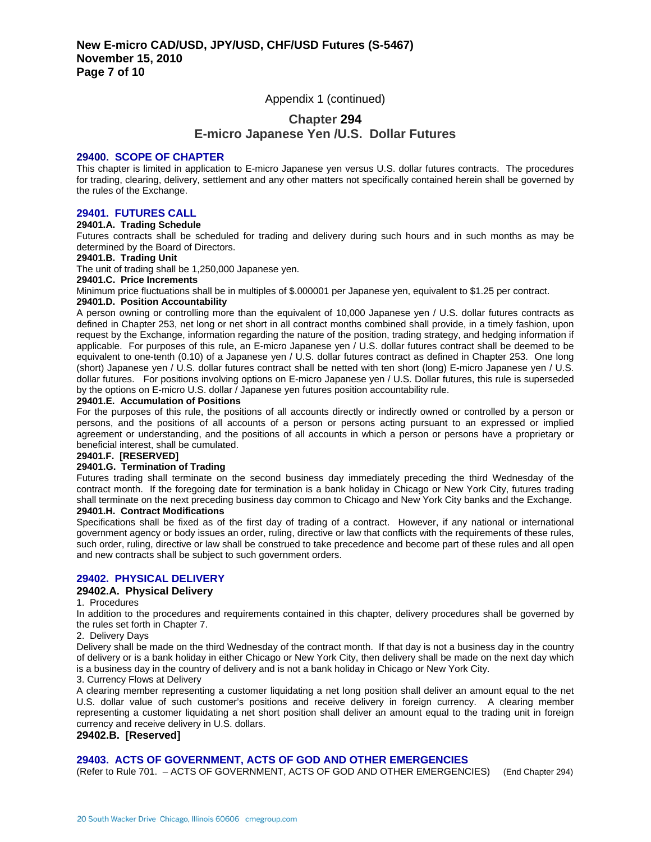## Appendix 1 (continued)

## **Chapter 294 E-micro Japanese Yen /U.S. Dollar Futures**

#### **29400. SCOPE OF CHAPTER**

This chapter is limited in application to E-micro Japanese yen versus U.S. dollar futures contracts. The procedures for trading, clearing, delivery, settlement and any other matters not specifically contained herein shall be governed by the rules of the Exchange.

### **29401. FUTURES CALL**

#### **29401.A. Trading Schedule**

Futures contracts shall be scheduled for trading and delivery during such hours and in such months as may be determined by the Board of Directors.

#### **29401.B. Trading Unit**

The unit of trading shall be 1,250,000 Japanese yen.

#### **29401.C. Price Increments**

Minimum price fluctuations shall be in multiples of \$.000001 per Japanese yen, equivalent to \$1.25 per contract.

#### **29401.D. Position Accountability**

A person owning or controlling more than the equivalent of 10,000 Japanese yen / U.S. dollar futures contracts as defined in Chapter 253, net long or net short in all contract months combined shall provide, in a timely fashion, upon request by the Exchange, information regarding the nature of the position, trading strategy, and hedging information if applicable. For purposes of this rule, an E-micro Japanese yen / U.S. dollar futures contract shall be deemed to be equivalent to one-tenth (0.10) of a Japanese yen / U.S. dollar futures contract as defined in Chapter 253. One long (short) Japanese yen / U.S. dollar futures contract shall be netted with ten short (long) E-micro Japanese yen / U.S. dollar futures. For positions involving options on E-micro Japanese yen / U.S. Dollar futures, this rule is superseded by the options on E-micro U.S. dollar / Japanese yen futures position accountability rule.

#### **29401.E. Accumulation of Positions**

For the purposes of this rule, the positions of all accounts directly or indirectly owned or controlled by a person or persons, and the positions of all accounts of a person or persons acting pursuant to an expressed or implied agreement or understanding, and the positions of all accounts in which a person or persons have a proprietary or beneficial interest, shall be cumulated.

## **29401.F. [RESERVED]**

### **29401.G. Termination of Trading**

Futures trading shall terminate on the second business day immediately preceding the third Wednesday of the contract month. If the foregoing date for termination is a bank holiday in Chicago or New York City, futures trading shall terminate on the next preceding business day common to Chicago and New York City banks and the Exchange. **29401.H. Contract Modifications** 

Specifications shall be fixed as of the first day of trading of a contract. However, if any national or international government agency or body issues an order, ruling, directive or law that conflicts with the requirements of these rules, such order, ruling, directive or law shall be construed to take precedence and become part of these rules and all open and new contracts shall be subject to such government orders.

## **29402. PHYSICAL DELIVERY**

## **29402.A. Physical Delivery**

1. Procedures

In addition to the procedures and requirements contained in this chapter, delivery procedures shall be governed by the rules set forth in Chapter 7.

2. Delivery Days

Delivery shall be made on the third Wednesday of the contract month. If that day is not a business day in the country of delivery or is a bank holiday in either Chicago or New York City, then delivery shall be made on the next day which is a business day in the country of delivery and is not a bank holiday in Chicago or New York City.

3. Currency Flows at Delivery

A clearing member representing a customer liquidating a net long position shall deliver an amount equal to the net U.S. dollar value of such customer's positions and receive delivery in foreign currency. A clearing member representing a customer liquidating a net short position shall deliver an amount equal to the trading unit in foreign currency and receive delivery in U.S. dollars.

#### **29402.B. [Reserved]**

#### **29403. ACTS OF GOVERNMENT, ACTS OF GOD AND OTHER EMERGENCIES**

(Refer to Rule 701. – ACTS OF GOVERNMENT, ACTS OF GOD AND OTHER EMERGENCIES) (End Chapter 294)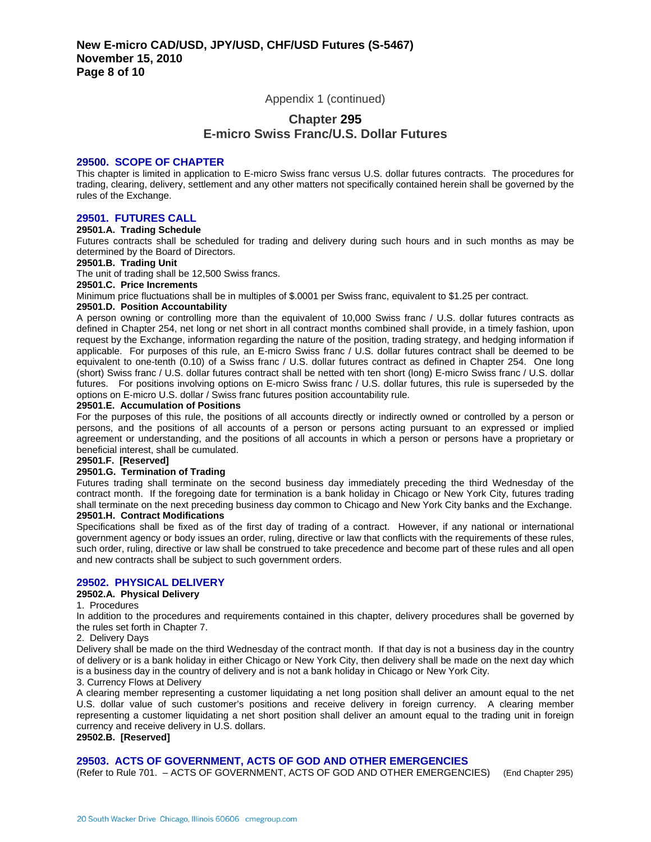Appendix 1 (continued)

## **Chapter 295 E-micro Swiss Franc/U.S. Dollar Futures**

#### **29500. SCOPE OF CHAPTER**

This chapter is limited in application to E-micro Swiss franc versus U.S. dollar futures contracts. The procedures for trading, clearing, delivery, settlement and any other matters not specifically contained herein shall be governed by the rules of the Exchange.

### **29501. FUTURES CALL**

#### **29501.A. Trading Schedule**

Futures contracts shall be scheduled for trading and delivery during such hours and in such months as may be determined by the Board of Directors.

#### **29501.B. Trading Unit**

The unit of trading shall be 12,500 Swiss francs.

#### **29501.C. Price Increments**

Minimum price fluctuations shall be in multiples of \$.0001 per Swiss franc, equivalent to \$1.25 per contract.

#### **29501.D. Position Accountability**

A person owning or controlling more than the equivalent of 10,000 Swiss franc / U.S. dollar futures contracts as defined in Chapter 254, net long or net short in all contract months combined shall provide, in a timely fashion, upon request by the Exchange, information regarding the nature of the position, trading strategy, and hedging information if applicable. For purposes of this rule, an E-micro Swiss franc / U.S. dollar futures contract shall be deemed to be equivalent to one-tenth (0.10) of a Swiss franc / U.S. dollar futures contract as defined in Chapter 254. One long (short) Swiss franc / U.S. dollar futures contract shall be netted with ten short (long) E-micro Swiss franc / U.S. dollar futures. For positions involving options on E-micro Swiss franc / U.S. dollar futures, this rule is superseded by the options on E-micro U.S. dollar / Swiss franc futures position accountability rule.

#### **29501.E. Accumulation of Positions**

For the purposes of this rule, the positions of all accounts directly or indirectly owned or controlled by a person or persons, and the positions of all accounts of a person or persons acting pursuant to an expressed or implied agreement or understanding, and the positions of all accounts in which a person or persons have a proprietary or beneficial interest, shall be cumulated.

#### **29501.F. [Reserved]**

#### **29501.G. Termination of Trading**

Futures trading shall terminate on the second business day immediately preceding the third Wednesday of the contract month. If the foregoing date for termination is a bank holiday in Chicago or New York City, futures trading shall terminate on the next preceding business day common to Chicago and New York City banks and the Exchange.

#### **29501.H. Contract Modifications**

Specifications shall be fixed as of the first day of trading of a contract. However, if any national or international government agency or body issues an order, ruling, directive or law that conflicts with the requirements of these rules, such order, ruling, directive or law shall be construed to take precedence and become part of these rules and all open and new contracts shall be subject to such government orders.

## **29502. PHYSICAL DELIVERY**

#### **29502.A. Physical Delivery**

#### 1. Procedures

In addition to the procedures and requirements contained in this chapter, delivery procedures shall be governed by the rules set forth in Chapter 7.

#### 2. Delivery Days

Delivery shall be made on the third Wednesday of the contract month. If that day is not a business day in the country of delivery or is a bank holiday in either Chicago or New York City, then delivery shall be made on the next day which is a business day in the country of delivery and is not a bank holiday in Chicago or New York City.

3. Currency Flows at Delivery

A clearing member representing a customer liquidating a net long position shall deliver an amount equal to the net U.S. dollar value of such customer's positions and receive delivery in foreign currency. A clearing member representing a customer liquidating a net short position shall deliver an amount equal to the trading unit in foreign currency and receive delivery in U.S. dollars.

#### **29502.B. [Reserved]**

#### **29503. ACTS OF GOVERNMENT, ACTS OF GOD AND OTHER EMERGENCIES**

(Refer to Rule 701. – ACTS OF GOVERNMENT, ACTS OF GOD AND OTHER EMERGENCIES) (End Chapter 295)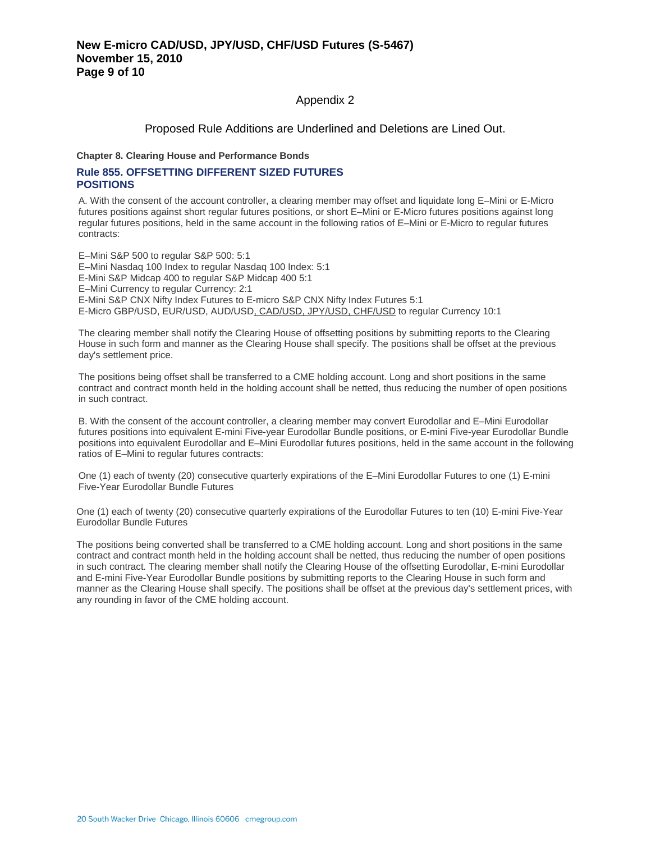Appendix 2

## Proposed Rule Additions are Underlined and Deletions are Lined Out.

**Chapter 8. Clearing House and Performance Bonds**

## **Rule 855. OFFSETTING DIFFERENT SIZED FUTURES POSITIONS**

A. With the consent of the account controller, a clearing member may offset and liquidate long E–Mini or E-Micro futures positions against short regular futures positions, or short E–Mini or E-Micro futures positions against long regular futures positions, held in the same account in the following ratios of E–Mini or E-Micro to regular futures contracts:

E–Mini S&P 500 to regular S&P 500: 5:1 E–Mini Nasdaq 100 Index to regular Nasdaq 100 Index: 5:1 E-Mini S&P Midcap 400 to regular S&P Midcap 400 5:1 E–Mini Currency to regular Currency: 2:1 E-Mini S&P CNX Nifty Index Futures to E-micro S&P CNX Nifty Index Futures 5:1 E-Micro GBP/USD, EUR/USD, AUD/USD, CAD/USD, JPY/USD, CHF/USD to regular Currency 10:1

The clearing member shall notify the Clearing House of offsetting positions by submitting reports to the Clearing House in such form and manner as the Clearing House shall specify. The positions shall be offset at the previous day's settlement price.

The positions being offset shall be transferred to a CME holding account. Long and short positions in the same contract and contract month held in the holding account shall be netted, thus reducing the number of open positions in such contract.

B. With the consent of the account controller, a clearing member may convert Eurodollar and E–Mini Eurodollar futures positions into equivalent E-mini Five-year Eurodollar Bundle positions, or E-mini Five-year Eurodollar Bundle positions into equivalent Eurodollar and E–Mini Eurodollar futures positions, held in the same account in the following ratios of E–Mini to regular futures contracts:

One (1) each of twenty (20) consecutive quarterly expirations of the E–Mini Eurodollar Futures to one (1) E-mini Five-Year Eurodollar Bundle Futures

One (1) each of twenty (20) consecutive quarterly expirations of the Eurodollar Futures to ten (10) E-mini Five-Year Eurodollar Bundle Futures

The positions being converted shall be transferred to a CME holding account. Long and short positions in the same contract and contract month held in the holding account shall be netted, thus reducing the number of open positions in such contract. The clearing member shall notify the Clearing House of the offsetting Eurodollar, E-mini Eurodollar and E-mini Five-Year Eurodollar Bundle positions by submitting reports to the Clearing House in such form and manner as the Clearing House shall specify. The positions shall be offset at the previous day's settlement prices, with any rounding in favor of the CME holding account.